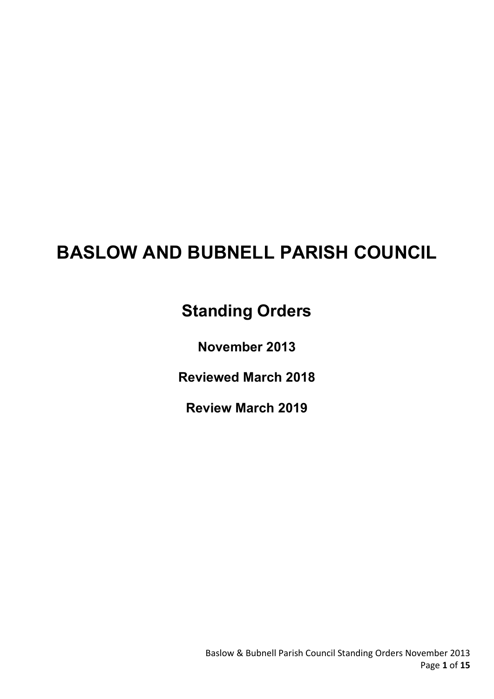# BASLOW AND BUBNELL PARISH COUNCIL

# Standing Orders

November 2013

Reviewed March 2018

Review March 2019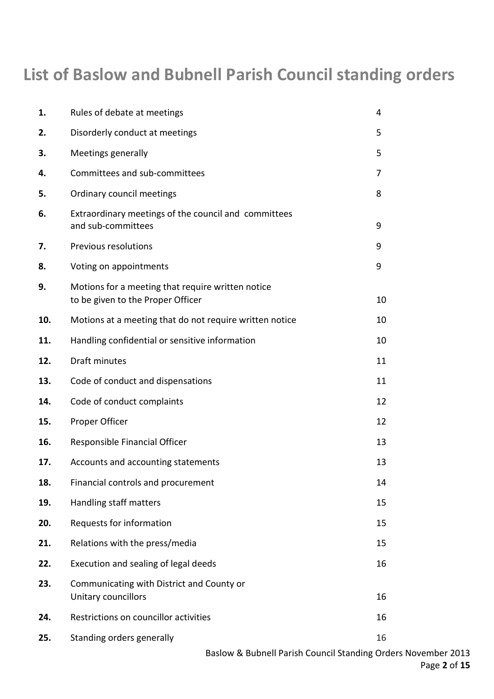# List of Baslow and Bubnell Parish Council standing orders

| 1.  | Rules of debate at meetings                                                            | 4  |
|-----|----------------------------------------------------------------------------------------|----|
| 2.  | Disorderly conduct at meetings                                                         | 5  |
| 3.  | Meetings generally                                                                     | 5  |
| 4.  | Committees and sub-committees                                                          | 7  |
| 5.  | Ordinary council meetings                                                              | 8  |
| 6.  | Extraordinary meetings of the council and committees<br>and sub-committees             | 9  |
| 7.  | <b>Previous resolutions</b>                                                            | 9  |
| 8.  | Voting on appointments                                                                 | 9  |
| 9.  | Motions for a meeting that require written notice<br>to be given to the Proper Officer | 10 |
| 10. | Motions at a meeting that do not require written notice                                | 10 |
| 11. | Handling confidential or sensitive information                                         | 10 |
| 12. | <b>Draft minutes</b>                                                                   | 11 |
| 13. | Code of conduct and dispensations                                                      | 11 |
| 14. | Code of conduct complaints                                                             | 12 |
| 15. | Proper Officer                                                                         | 12 |
| 16. | Responsible Financial Officer                                                          | 13 |
| 17. | Accounts and accounting statements                                                     | 13 |
| 18. | Financial controls and procurement                                                     | 14 |
| 19. | Handling staff matters                                                                 | 15 |
| 20. | Requests for information                                                               | 15 |
| 21. | Relations with the press/media                                                         | 15 |
| 22. | Execution and sealing of legal deeds                                                   | 16 |
| 23. | Communicating with District and County or<br>Unitary councillors                       | 16 |
| 24. | Restrictions on councillor activities                                                  | 16 |
| 25. | Standing orders generally                                                              | 16 |

Baslow & Bubnell Parish Council Standing Orders November 2013 Page 2 of 15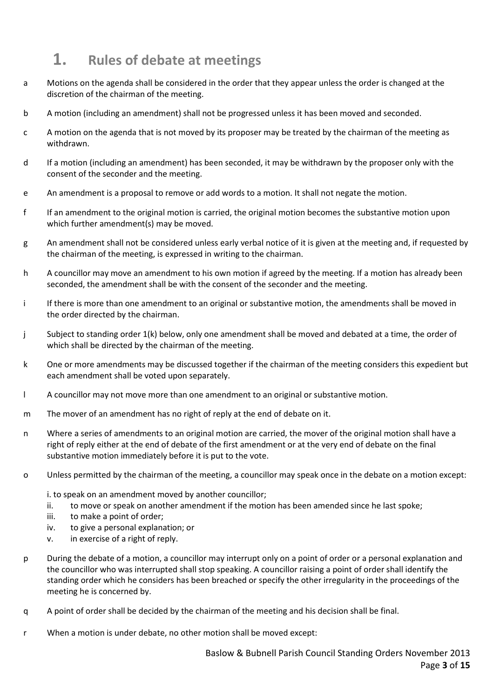# 1. Rules of debate at meetings

- a Motions on the agenda shall be considered in the order that they appear unless the order is changed at the discretion of the chairman of the meeting.
- b A motion (including an amendment) shall not be progressed unless it has been moved and seconded.
- c A motion on the agenda that is not moved by its proposer may be treated by the chairman of the meeting as withdrawn.
- d If a motion (including an amendment) has been seconded, it may be withdrawn by the proposer only with the consent of the seconder and the meeting.
- e An amendment is a proposal to remove or add words to a motion. It shall not negate the motion.
- f If an amendment to the original motion is carried, the original motion becomes the substantive motion upon which further amendment(s) may be moved.
- g An amendment shall not be considered unless early verbal notice of it is given at the meeting and, if requested by the chairman of the meeting, is expressed in writing to the chairman.
- h A councillor may move an amendment to his own motion if agreed by the meeting. If a motion has already been seconded, the amendment shall be with the consent of the seconder and the meeting.
- i If there is more than one amendment to an original or substantive motion, the amendments shall be moved in the order directed by the chairman.
- j Subject to standing order 1(k) below, only one amendment shall be moved and debated at a time, the order of which shall be directed by the chairman of the meeting.
- k One or more amendments may be discussed together if the chairman of the meeting considers this expedient but each amendment shall be voted upon separately.
- l A councillor may not move more than one amendment to an original or substantive motion.
- m The mover of an amendment has no right of reply at the end of debate on it.
- n Where a series of amendments to an original motion are carried, the mover of the original motion shall have a right of reply either at the end of debate of the first amendment or at the very end of debate on the final substantive motion immediately before it is put to the vote.
- o Unless permitted by the chairman of the meeting, a councillor may speak once in the debate on a motion except:
	- i. to speak on an amendment moved by another councillor;
	- ii. to move or speak on another amendment if the motion has been amended since he last spoke;
	- iii. to make a point of order;
	- iv. to give a personal explanation; or
	- v. in exercise of a right of reply.
- p During the debate of a motion, a councillor may interrupt only on a point of order or a personal explanation and the councillor who was interrupted shall stop speaking. A councillor raising a point of order shall identify the standing order which he considers has been breached or specify the other irregularity in the proceedings of the meeting he is concerned by.
- q A point of order shall be decided by the chairman of the meeting and his decision shall be final.
- r When a motion is under debate, no other motion shall be moved except: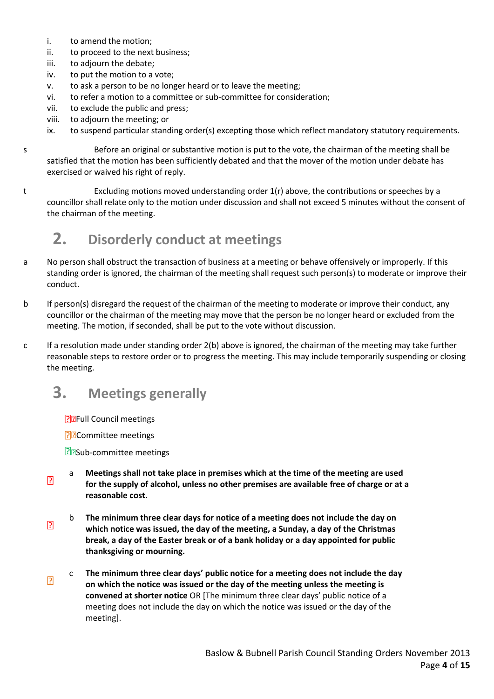- i. to amend the motion;
- ii. to proceed to the next business;
- iii. to adjourn the debate;
- iv. to put the motion to a vote;
- v. to ask a person to be no longer heard or to leave the meeting;
- vi. to refer a motion to a committee or sub-committee for consideration;
- vii. to exclude the public and press;
- viii. to adjourn the meeting; or
- ix. to suspend particular standing order(s) excepting those which reflect mandatory statutory requirements.
- s Before an original or substantive motion is put to the vote, the chairman of the meeting shall be satisfied that the motion has been sufficiently debated and that the mover of the motion under debate has exercised or waived his right of reply.
- t Excluding motions moved understanding order 1(r) above, the contributions or speeches by a councillor shall relate only to the motion under discussion and shall not exceed 5 minutes without the consent of the chairman of the meeting.

### 2. Disorderly conduct at meetings

- a No person shall obstruct the transaction of business at a meeting or behave offensively or improperly. If this standing order is ignored, the chairman of the meeting shall request such person(s) to moderate or improve their conduct.
- b If person(s) disregard the request of the chairman of the meeting to moderate or improve their conduct, any councillor or the chairman of the meeting may move that the person be no longer heard or excluded from the meeting. The motion, if seconded, shall be put to the vote without discussion.
- c If a resolution made under standing order 2(b) above is ignored, the chairman of the meeting may take further reasonable steps to restore order or to progress the meeting. This may include temporarily suspending or closing the meeting.

### 3. Meetings generally

**P**<sub>E</sub>Full Council meetings

**P**Committee meetings

**R**BSub-committee meetings

- $\overline{R}$ a Meetings shall not take place in premises which at the time of the meeting are used for the supply of alcohol, unless no other premises are available free of charge or at a reasonable cost.
- $\overline{R}$ b The minimum three clear days for notice of a meeting does not include the day on which notice was issued, the day of the meeting, a Sunday, a day of the Christmas break, a day of the Easter break or of a bank holiday or a day appointed for public thanksgiving or mourning.
- $\overline{R}$ c The minimum three clear days' public notice for a meeting does not include the day on which the notice was issued or the day of the meeting unless the meeting is convened at shorter notice OR [The minimum three clear days' public notice of a meeting does not include the day on which the notice was issued or the day of the meeting].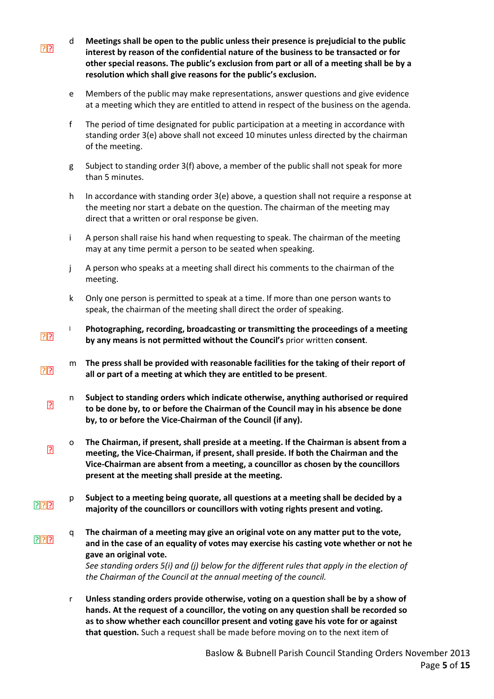- $\overline{?}$ d Meetings shall be open to the public unless their presence is prejudicial to the public interest by reason of the confidential nature of the business to be transacted or for other special reasons. The public's exclusion from part or all of a meeting shall be by a resolution which shall give reasons for the public's exclusion.
	- e Members of the public may make representations, answer questions and give evidence at a meeting which they are entitled to attend in respect of the business on the agenda.
	- f The period of time designated for public participation at a meeting in accordance with standing order 3(e) above shall not exceed 10 minutes unless directed by the chairman of the meeting.
	- g Subject to standing order 3(f) above, a member of the public shall not speak for more than 5 minutes.
	- h In accordance with standing order 3(e) above, a question shall not require a response at the meeting nor start a debate on the question. The chairman of the meeting may direct that a written or oral response be given.
	- i A person shall raise his hand when requesting to speak. The chairman of the meeting may at any time permit a person to be seated when speaking.
	- j A person who speaks at a meeting shall direct his comments to the chairman of the meeting.
	- k Only one person is permitted to speak at a time. If more than one person wants to speak, the chairman of the meeting shall direct the order of speaking.
- $\boxed{2}$ l Photographing, recording, broadcasting or transmitting the proceedings of a meeting by any means is not permitted without the Council's prior written consent.
- $P$ m The press shall be provided with reasonable facilities for the taking of their report of all or part of a meeting at which they are entitled to be present.
	- 卪 n Subject to standing orders which indicate otherwise, anything authorised or required to be done by, to or before the Chairman of the Council may in his absence be done by, to or before the Vice-Chairman of the Council (if any).
	- $\overline{?}$ o The Chairman, if present, shall preside at a meeting. If the Chairman is absent from a meeting, the Vice-Chairman, if present, shall preside. If both the Chairman and the Vice-Chairman are absent from a meeting, a councillor as chosen by the councillors present at the meeting shall preside at the meeting.
- **PRP** p Subject to a meeting being quorate, all questions at a meeting shall be decided by a majority of the councillors or councillors with voting rights present and voting.
- **PPP** q The chairman of a meeting may give an original vote on any matter put to the vote, and in the case of an equality of votes may exercise his casting vote whether or not he gave an original vote.

See standing orders 5(i) and (j) below for the different rules that apply in the election of the Chairman of the Council at the annual meeting of the council.

r Unless standing orders provide otherwise, voting on a question shall be by a show of hands. At the request of a councillor, the voting on any question shall be recorded so as to show whether each councillor present and voting gave his vote for or against that question. Such a request shall be made before moving on to the next item of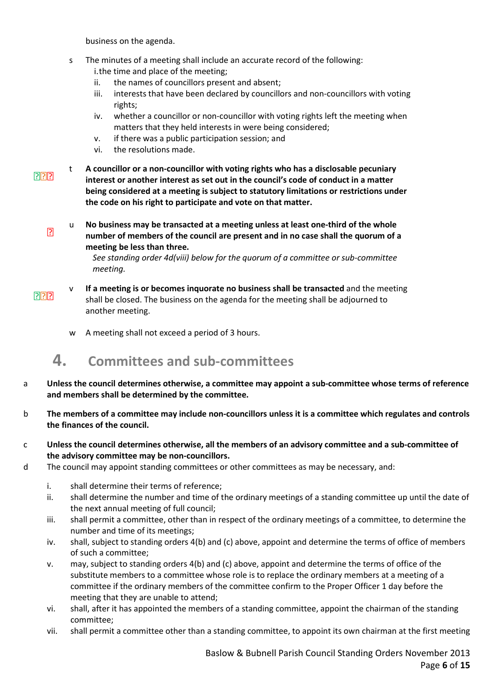business on the agenda.

- s The minutes of a meeting shall include an accurate record of the following: i.the time and place of the meeting;
	- ii. the names of councillors present and absent;
	- iii. interests that have been declared by councillors and non-councillors with voting rights;
	- iv. whether a councillor or non-councillor with voting rights left the meeting when matters that they held interests in were being considered;
	- v. if there was a public participation session; and
	- vi. the resolutions made.
- $7777$ t A councillor or a non-councillor with voting rights who has a disclosable pecuniary interest or another interest as set out in the council's code of conduct in a matter being considered at a meeting is subject to statutory limitations or restrictions under the code on his right to participate and vote on that matter.
	- $\overline{P}$ u No business may be transacted at a meeting unless at least one-third of the whole number of members of the council are present and in no case shall the quorum of a meeting be less than three.

See standing order 4d(viii) below for the quorum of a committee or sub-committee meeting.

- $P$ If a meeting is or becomes inquorate no business shall be transacted and the meeting shall be closed. The business on the agenda for the meeting shall be adjourned to another meeting.
	- w A meeting shall not exceed a period of 3 hours.

### 4. Committees and sub-committees

- a Unless the council determines otherwise, a committee may appoint a sub-committee whose terms of reference and members shall be determined by the committee.
- b The members of a committee may include non-councillors unless it is a committee which regulates and controls the finances of the council.
- c Unless the council determines otherwise, all the members of an advisory committee and a sub-committee of the advisory committee may be non-councillors.
- d The council may appoint standing committees or other committees as may be necessary, and:
	- i. shall determine their terms of reference;
	- ii. shall determine the number and time of the ordinary meetings of a standing committee up until the date of the next annual meeting of full council;
	- iii. shall permit a committee, other than in respect of the ordinary meetings of a committee, to determine the number and time of its meetings;
	- iv. shall, subject to standing orders 4(b) and (c) above, appoint and determine the terms of office of members of such a committee;
	- v. may, subject to standing orders 4(b) and (c) above, appoint and determine the terms of office of the substitute members to a committee whose role is to replace the ordinary members at a meeting of a committee if the ordinary members of the committee confirm to the Proper Officer 1 day before the meeting that they are unable to attend;
	- vi. shall, after it has appointed the members of a standing committee, appoint the chairman of the standing committee;
	- vii. shall permit a committee other than a standing committee, to appoint its own chairman at the first meeting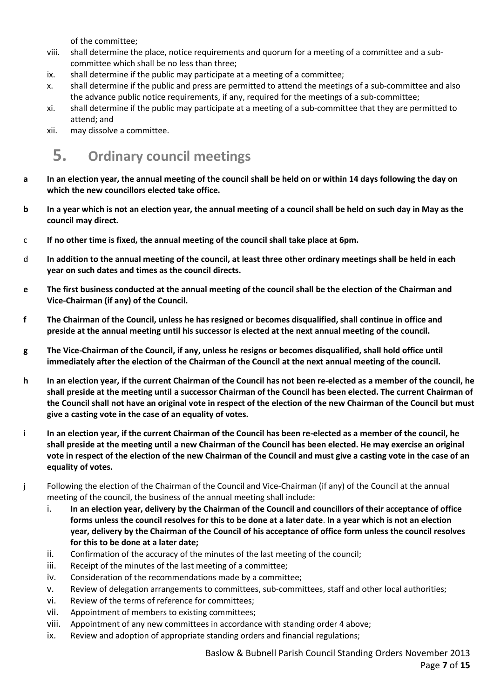of the committee;

- viii. shall determine the place, notice requirements and quorum for a meeting of a committee and a subcommittee which shall be no less than three;
- ix. shall determine if the public may participate at a meeting of a committee;
- x. shall determine if the public and press are permitted to attend the meetings of a sub-committee and also the advance public notice requirements, if any, required for the meetings of a sub-committee;
- xi. shall determine if the public may participate at a meeting of a sub-committee that they are permitted to attend; and
- xii. may dissolve a committee.

# 5. Ordinary council meetings

- a In an election year, the annual meeting of the council shall be held on or within 14 days following the day on which the new councillors elected take office.
- b In a year which is not an election year, the annual meeting of a council shall be held on such day in May as the council may direct.
- c If no other time is fixed, the annual meeting of the council shall take place at 6pm.
- d In addition to the annual meeting of the council, at least three other ordinary meetings shall be held in each year on such dates and times as the council directs.
- e The first business conducted at the annual meeting of the council shall be the election of the Chairman and Vice-Chairman (if any) of the Council.
- f The Chairman of the Council, unless he has resigned or becomes disqualified, shall continue in office and preside at the annual meeting until his successor is elected at the next annual meeting of the council.
- g The Vice-Chairman of the Council, if any, unless he resigns or becomes disqualified, shall hold office until immediately after the election of the Chairman of the Council at the next annual meeting of the council.
- h In an election year, if the current Chairman of the Council has not been re-elected as a member of the council, he shall preside at the meeting until a successor Chairman of the Council has been elected. The current Chairman of the Council shall not have an original vote in respect of the election of the new Chairman of the Council but must give a casting vote in the case of an equality of votes.
- i In an election year, if the current Chairman of the Council has been re-elected as a member of the council, he shall preside at the meeting until a new Chairman of the Council has been elected. He may exercise an original vote in respect of the election of the new Chairman of the Council and must give a casting vote in the case of an equality of votes.
- j Following the election of the Chairman of the Council and Vice-Chairman (if any) of the Council at the annual meeting of the council, the business of the annual meeting shall include:
	- i. In an election year, delivery by the Chairman of the Council and councillors of their acceptance of office forms unless the council resolves for this to be done at a later date. In a year which is not an election year, delivery by the Chairman of the Council of his acceptance of office form unless the council resolves for this to be done at a later date;
	- ii. Confirmation of the accuracy of the minutes of the last meeting of the council;
	- iii. Receipt of the minutes of the last meeting of a committee;
	- iv. Consideration of the recommendations made by a committee;
	- v. Review of delegation arrangements to committees, sub-committees, staff and other local authorities;
	- vi. Review of the terms of reference for committees;
	- vii. Appointment of members to existing committees;
	- viii. Appointment of any new committees in accordance with standing order 4 above;
	- ix. Review and adoption of appropriate standing orders and financial regulations;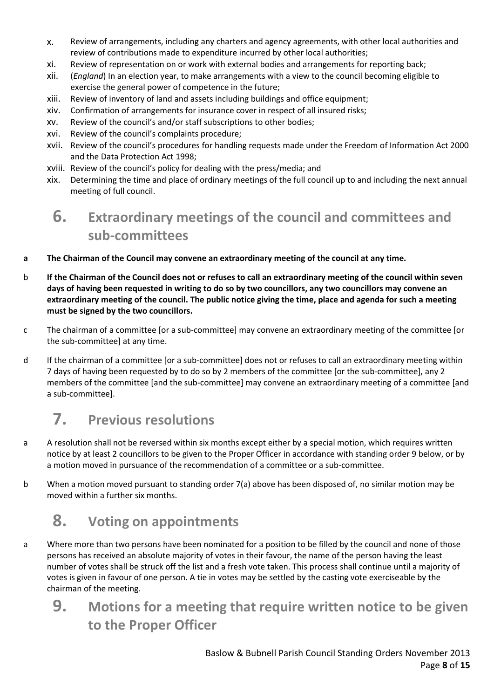- x. Review of arrangements, including any charters and agency agreements, with other local authorities and review of contributions made to expenditure incurred by other local authorities;
- xi. Review of representation on or work with external bodies and arrangements for reporting back;
- xii. (*England*) In an election year, to make arrangements with a view to the council becoming eligible to exercise the general power of competence in the future;
- xiii. Review of inventory of land and assets including buildings and office equipment;
- xiv. Confirmation of arrangements for insurance cover in respect of all insured risks;
- xv. Review of the council's and/or staff subscriptions to other bodies;
- xvi. Review of the council's complaints procedure;
- xvii. Review of the council's procedures for handling requests made under the Freedom of Information Act 2000 and the Data Protection Act 1998;
- xviii. Review of the council's policy for dealing with the press/media; and
- xix. Determining the time and place of ordinary meetings of the full council up to and including the next annual meeting of full council.

# 6. Extraordinary meetings of the council and committees and sub-committees

- a The Chairman of the Council may convene an extraordinary meeting of the council at any time.
- b If the Chairman of the Council does not or refuses to call an extraordinary meeting of the council within seven days of having been requested in writing to do so by two councillors, any two councillors may convene an extraordinary meeting of the council. The public notice giving the time, place and agenda for such a meeting must be signed by the two councillors.
- c The chairman of a committee [or a sub-committee] may convene an extraordinary meeting of the committee [or the sub-committee] at any time.
- d If the chairman of a committee [or a sub-committee] does not or refuses to call an extraordinary meeting within 7 days of having been requested by to do so by 2 members of the committee [or the sub-committee], any 2 members of the committee [and the sub-committee] may convene an extraordinary meeting of a committee [and a sub-committee].

### 7. Previous resolutions

- a A resolution shall not be reversed within six months except either by a special motion, which requires written notice by at least 2 councillors to be given to the Proper Officer in accordance with standing order 9 below, or by a motion moved in pursuance of the recommendation of a committee or a sub-committee.
- b When a motion moved pursuant to standing order 7(a) above has been disposed of, no similar motion may be moved within a further six months.

# 8. Voting on appointments

- a Where more than two persons have been nominated for a position to be filled by the council and none of those persons has received an absolute majority of votes in their favour, the name of the person having the least number of votes shall be struck off the list and a fresh vote taken. This process shall continue until a majority of votes is given in favour of one person. A tie in votes may be settled by the casting vote exerciseable by the chairman of the meeting.
	- 9. Motions for a meeting that require written notice to be given to the Proper Officer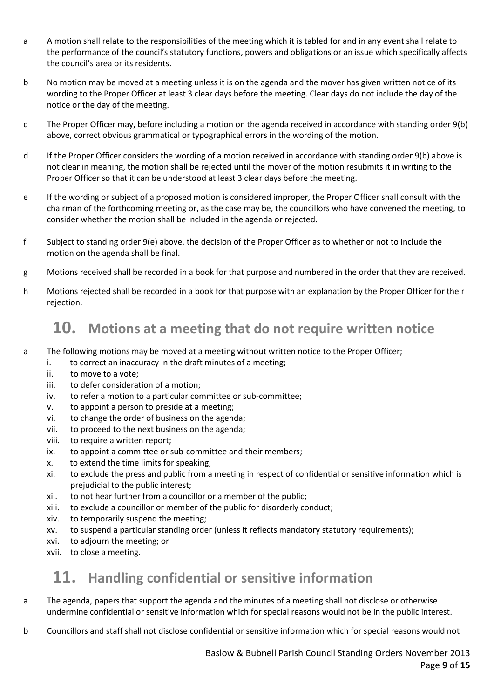- a A motion shall relate to the responsibilities of the meeting which it is tabled for and in any event shall relate to the performance of the council's statutory functions, powers and obligations or an issue which specifically affects the council's area or its residents.
- b No motion may be moved at a meeting unless it is on the agenda and the mover has given written notice of its wording to the Proper Officer at least 3 clear days before the meeting. Clear days do not include the day of the notice or the day of the meeting.
- c The Proper Officer may, before including a motion on the agenda received in accordance with standing order 9(b) above, correct obvious grammatical or typographical errors in the wording of the motion.
- d If the Proper Officer considers the wording of a motion received in accordance with standing order 9(b) above is not clear in meaning, the motion shall be rejected until the mover of the motion resubmits it in writing to the Proper Officer so that it can be understood at least 3 clear days before the meeting.
- e If the wording or subject of a proposed motion is considered improper, the Proper Officer shall consult with the chairman of the forthcoming meeting or, as the case may be, the councillors who have convened the meeting, to consider whether the motion shall be included in the agenda or rejected.
- f Subject to standing order 9(e) above, the decision of the Proper Officer as to whether or not to include the motion on the agenda shall be final.
- g Motions received shall be recorded in a book for that purpose and numbered in the order that they are received.
- h Motions rejected shall be recorded in a book for that purpose with an explanation by the Proper Officer for their rejection.

### 10. Motions at a meeting that do not require written notice

- a The following motions may be moved at a meeting without written notice to the Proper Officer;
	- i. to correct an inaccuracy in the draft minutes of a meeting;
	- ii. to move to a vote;
	- iii. to defer consideration of a motion;
	- iv. to refer a motion to a particular committee or sub-committee;
	- v. to appoint a person to preside at a meeting;
	- vi. to change the order of business on the agenda;
	- vii. to proceed to the next business on the agenda;
	- viii. to require a written report;
	- ix. to appoint a committee or sub-committee and their members;
	- x. to extend the time limits for speaking;
	- xi. to exclude the press and public from a meeting in respect of confidential or sensitive information which is prejudicial to the public interest;
	- xii. to not hear further from a councillor or a member of the public;
	- xiii. to exclude a councillor or member of the public for disorderly conduct;
	- xiv. to temporarily suspend the meeting;
	- xv. to suspend a particular standing order (unless it reflects mandatory statutory requirements);
	- xvi. to adjourn the meeting; or
	- xvii. to close a meeting.

### 11. Handling confidential or sensitive information

- a The agenda, papers that support the agenda and the minutes of a meeting shall not disclose or otherwise undermine confidential or sensitive information which for special reasons would not be in the public interest.
- b Councillors and staff shall not disclose confidential or sensitive information which for special reasons would not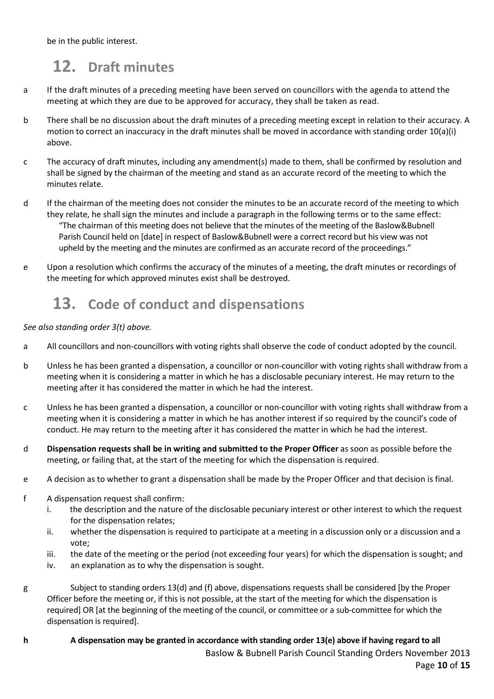be in the public interest.

# 12. Draft minutes

- a If the draft minutes of a preceding meeting have been served on councillors with the agenda to attend the meeting at which they are due to be approved for accuracy, they shall be taken as read.
- b There shall be no discussion about the draft minutes of a preceding meeting except in relation to their accuracy. A motion to correct an inaccuracy in the draft minutes shall be moved in accordance with standing order 10(a)(i) above.
- c The accuracy of draft minutes, including any amendment(s) made to them, shall be confirmed by resolution and shall be signed by the chairman of the meeting and stand as an accurate record of the meeting to which the minutes relate.
- d If the chairman of the meeting does not consider the minutes to be an accurate record of the meeting to which they relate, he shall sign the minutes and include a paragraph in the following terms or to the same effect: "The chairman of this meeting does not believe that the minutes of the meeting of the Baslow&Bubnell Parish Council held on [date] in respect of Baslow&Bubnell were a correct record but his view was not upheld by the meeting and the minutes are confirmed as an accurate record of the proceedings."
- e Upon a resolution which confirms the accuracy of the minutes of a meeting, the draft minutes or recordings of the meeting for which approved minutes exist shall be destroyed.

# 13. Code of conduct and dispensations

#### See also standing order 3(t) above.

- a All councillors and non-councillors with voting rights shall observe the code of conduct adopted by the council.
- b Unless he has been granted a dispensation, a councillor or non-councillor with voting rights shall withdraw from a meeting when it is considering a matter in which he has a disclosable pecuniary interest. He may return to the meeting after it has considered the matter in which he had the interest.
- c Unless he has been granted a dispensation, a councillor or non-councillor with voting rights shall withdraw from a meeting when it is considering a matter in which he has another interest if so required by the council's code of conduct. He may return to the meeting after it has considered the matter in which he had the interest.
- d Dispensation requests shall be in writing and submitted to the Proper Officer as soon as possible before the meeting, or failing that, at the start of the meeting for which the dispensation is required.
- e A decision as to whether to grant a dispensation shall be made by the Proper Officer and that decision is final.
- f A dispensation request shall confirm:
	- i. the description and the nature of the disclosable pecuniary interest or other interest to which the request for the dispensation relates;
	- ii. whether the dispensation is required to participate at a meeting in a discussion only or a discussion and a vote;
	- iii. the date of the meeting or the period (not exceeding four years) for which the dispensation is sought; and
	- iv. an explanation as to why the dispensation is sought.
- g Subject to standing orders 13(d) and (f) above, dispensations requests shall be considered [by the Proper Officer before the meeting or, if this is not possible, at the start of the meeting for which the dispensation is required] OR [at the beginning of the meeting of the council, or committee or a sub-committee for which the dispensation is required].
- Baslow & Bubnell Parish Council Standing Orders November 2013 Page 10 of 15 h A dispensation may be granted in accordance with standing order 13(e) above if having regard to all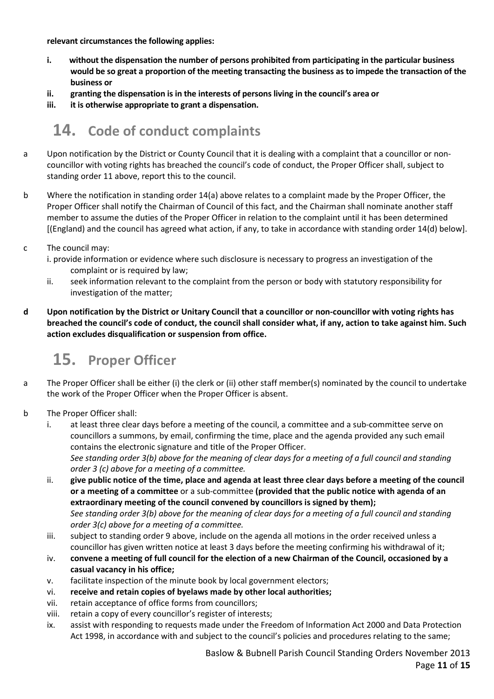relevant circumstances the following applies:

- i. without the dispensation the number of persons prohibited from participating in the particular business would be so great a proportion of the meeting transacting the business as to impede the transaction of the business or
- ii. granting the dispensation is in the interests of persons living in the council's area or
- iii. it is otherwise appropriate to grant a dispensation.

# 14. Code of conduct complaints

- a Upon notification by the District or County Council that it is dealing with a complaint that a councillor or noncouncillor with voting rights has breached the council's code of conduct, the Proper Officer shall, subject to standing order 11 above, report this to the council.
- b Where the notification in standing order 14(a) above relates to a complaint made by the Proper Officer, the Proper Officer shall notify the Chairman of Council of this fact, and the Chairman shall nominate another staff member to assume the duties of the Proper Officer in relation to the complaint until it has been determined [(England) and the council has agreed what action, if any, to take in accordance with standing order 14(d) below].
- c The council may:
	- i. provide information or evidence where such disclosure is necessary to progress an investigation of the complaint or is required by law;
	- ii. seek information relevant to the complaint from the person or body with statutory responsibility for investigation of the matter;
- d Upon notification by the District or Unitary Council that a councillor or non-councillor with voting rights has breached the council's code of conduct, the council shall consider what, if any, action to take against him. Such action excludes disqualification or suspension from office.

# 15. Proper Officer

- a The Proper Officer shall be either (i) the clerk or (ii) other staff member(s) nominated by the council to undertake the work of the Proper Officer when the Proper Officer is absent.
- b The Proper Officer shall:
	- i. at least three clear days before a meeting of the council, a committee and a sub-committee serve on councillors a summons, by email, confirming the time, place and the agenda provided any such email contains the electronic signature and title of the Proper Officer. See standing order 3(b) above for the meaning of clear days for a meeting of a full council and standing

order 3 (c) above for a meeting of a committee.

- ii. give public notice of the time, place and agenda at least three clear days before a meeting of the council or a meeting of a committee or a sub-committee (provided that the public notice with agenda of an extraordinary meeting of the council convened by councillors is signed by them); See standing order 3(b) above for the meaning of clear days for a meeting of a full council and standing order 3(c) above for a meeting of a committee.
- iii. subject to standing order 9 above, include on the agenda all motions in the order received unless a councillor has given written notice at least 3 days before the meeting confirming his withdrawal of it;
- iv. convene a meeting of full council for the election of a new Chairman of the Council, occasioned by a casual vacancy in his office;
- v. facilitate inspection of the minute book by local government electors;
- vi. receive and retain copies of byelaws made by other local authorities;
- vii. retain acceptance of office forms from councillors;
- viii. retain a copy of every councillor's register of interests;
- ix. assist with responding to requests made under the Freedom of Information Act 2000 and Data Protection Act 1998, in accordance with and subject to the council's policies and procedures relating to the same;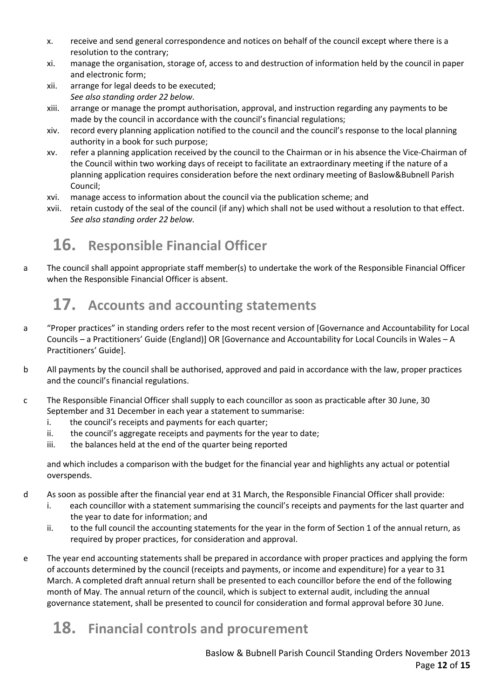- x. receive and send general correspondence and notices on behalf of the council except where there is a resolution to the contrary;
- xi. manage the organisation, storage of, access to and destruction of information held by the council in paper and electronic form;
- xii. arrange for legal deeds to be executed; See also standing order 22 below.
- xiii. arrange or manage the prompt authorisation, approval, and instruction regarding any payments to be made by the council in accordance with the council's financial regulations;
- xiv. record every planning application notified to the council and the council's response to the local planning authority in a book for such purpose;
- xv. refer a planning application received by the council to the Chairman or in his absence the Vice-Chairman of the Council within two working days of receipt to facilitate an extraordinary meeting if the nature of a planning application requires consideration before the next ordinary meeting of Baslow&Bubnell Parish Council;
- xvi. manage access to information about the council via the publication scheme; and
- xvii. retain custody of the seal of the council (if any) which shall not be used without a resolution to that effect. See also standing order 22 below.

# 16. Responsible Financial Officer

a The council shall appoint appropriate staff member(s) to undertake the work of the Responsible Financial Officer when the Responsible Financial Officer is absent.

# 17. Accounts and accounting statements

- a "Proper practices" in standing orders refer to the most recent version of [Governance and Accountability for Local Councils – a Practitioners' Guide (England)] OR [Governance and Accountability for Local Councils in Wales – A Practitioners' Guide].
- b All payments by the council shall be authorised, approved and paid in accordance with the law, proper practices and the council's financial regulations.
- c The Responsible Financial Officer shall supply to each councillor as soon as practicable after 30 June, 30 September and 31 December in each year a statement to summarise:
	- i. the council's receipts and payments for each quarter;
	- ii. the council's aggregate receipts and payments for the year to date;
	- iii. the balances held at the end of the quarter being reported

and which includes a comparison with the budget for the financial year and highlights any actual or potential overspends.

- d As soon as possible after the financial year end at 31 March, the Responsible Financial Officer shall provide:
	- i. each councillor with a statement summarising the council's receipts and payments for the last quarter and the year to date for information; and
	- ii. to the full council the accounting statements for the year in the form of Section 1 of the annual return, as required by proper practices, for consideration and approval.
- e The year end accounting statements shall be prepared in accordance with proper practices and applying the form of accounts determined by the council (receipts and payments, or income and expenditure) for a year to 31 March. A completed draft annual return shall be presented to each councillor before the end of the following month of May. The annual return of the council, which is subject to external audit, including the annual governance statement, shall be presented to council for consideration and formal approval before 30 June.

# 18. Financial controls and procurement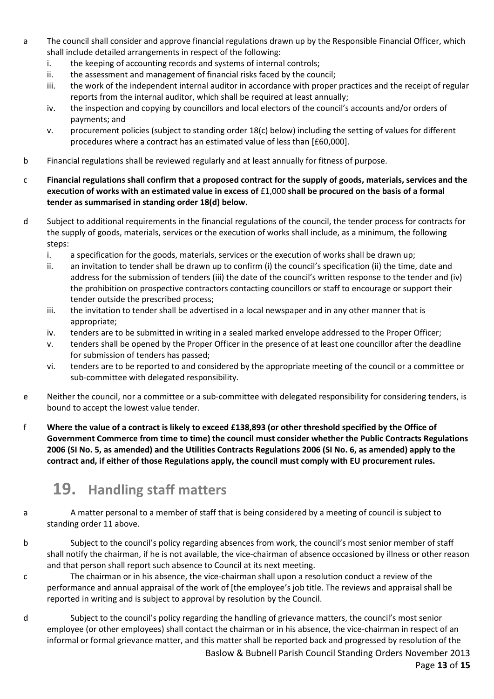- a The council shall consider and approve financial regulations drawn up by the Responsible Financial Officer, which shall include detailed arrangements in respect of the following:
	- i. the keeping of accounting records and systems of internal controls;
	- ii. the assessment and management of financial risks faced by the council;
	- iii. the work of the independent internal auditor in accordance with proper practices and the receipt of regular reports from the internal auditor, which shall be required at least annually;
	- iv. the inspection and copying by councillors and local electors of the council's accounts and/or orders of payments; and
	- v. procurement policies (subject to standing order 18(c) below) including the setting of values for different procedures where a contract has an estimated value of less than [£60,000].
- b Financial regulations shall be reviewed regularly and at least annually for fitness of purpose.
- c Financial regulations shall confirm that a proposed contract for the supply of goods, materials, services and the execution of works with an estimated value in excess of £1,000 shall be procured on the basis of a formal tender as summarised in standing order 18(d) below.
- d Subject to additional requirements in the financial regulations of the council, the tender process for contracts for the supply of goods, materials, services or the execution of works shall include, as a minimum, the following steps:
	- i. a specification for the goods, materials, services or the execution of works shall be drawn up;
	- ii. an invitation to tender shall be drawn up to confirm (i) the council's specification (ii) the time, date and address for the submission of tenders (iii) the date of the council's written response to the tender and (iv) the prohibition on prospective contractors contacting councillors or staff to encourage or support their tender outside the prescribed process;
	- iii. the invitation to tender shall be advertised in a local newspaper and in any other manner that is appropriate;
	- iv. tenders are to be submitted in writing in a sealed marked envelope addressed to the Proper Officer;
	- v. tenders shall be opened by the Proper Officer in the presence of at least one councillor after the deadline for submission of tenders has passed;
	- vi. tenders are to be reported to and considered by the appropriate meeting of the council or a committee or sub-committee with delegated responsibility.
- e Neither the council, nor a committee or a sub-committee with delegated responsibility for considering tenders, is bound to accept the lowest value tender.
- f Where the value of a contract is likely to exceed £138,893 (or other threshold specified by the Office of Government Commerce from time to time) the council must consider whether the Public Contracts Regulations 2006 (SI No. 5, as amended) and the Utilities Contracts Regulations 2006 (SI No. 6, as amended) apply to the contract and, if either of those Regulations apply, the council must comply with EU procurement rules.

# 19. Handling staff matters

- a A matter personal to a member of staff that is being considered by a meeting of council is subject to standing order 11 above.
- b Subject to the council's policy regarding absences from work, the council's most senior member of staff shall notify the chairman, if he is not available, the vice-chairman of absence occasioned by illness or other reason and that person shall report such absence to Council at its next meeting.
- c The chairman or in his absence, the vice-chairman shall upon a resolution conduct a review of the performance and annual appraisal of the work of [the employee's job title. The reviews and appraisal shall be reported in writing and is subject to approval by resolution by the Council.
- d Subject to the council's policy regarding the handling of grievance matters, the council's most senior employee (or other employees) shall contact the chairman or in his absence, the vice-chairman in respect of an informal or formal grievance matter, and this matter shall be reported back and progressed by resolution of the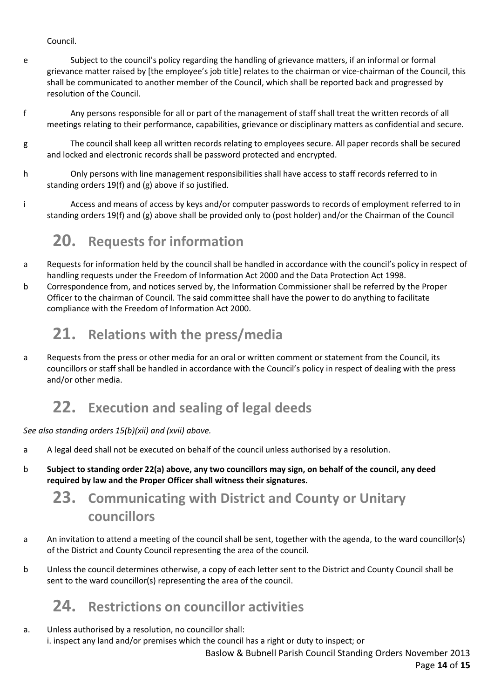Council.

- e Subject to the council's policy regarding the handling of grievance matters, if an informal or formal grievance matter raised by [the employee's job title] relates to the chairman or vice-chairman of the Council, this shall be communicated to another member of the Council, which shall be reported back and progressed by resolution of the Council.
- f Any persons responsible for all or part of the management of staff shall treat the written records of all meetings relating to their performance, capabilities, grievance or disciplinary matters as confidential and secure.
- g The council shall keep all written records relating to employees secure. All paper records shall be secured and locked and electronic records shall be password protected and encrypted.
- h Only persons with line management responsibilities shall have access to staff records referred to in standing orders 19(f) and (g) above if so justified.
- i Access and means of access by keys and/or computer passwords to records of employment referred to in standing orders 19(f) and (g) above shall be provided only to (post holder) and/or the Chairman of the Council

# 20. Requests for information

- a Requests for information held by the council shall be handled in accordance with the council's policy in respect of handling requests under the Freedom of Information Act 2000 and the Data Protection Act 1998.
- b Correspondence from, and notices served by, the Information Commissioner shall be referred by the Proper Officer to the chairman of Council. The said committee shall have the power to do anything to facilitate compliance with the Freedom of Information Act 2000.

# 21. Relations with the press/media

a Requests from the press or other media for an oral or written comment or statement from the Council, its councillors or staff shall be handled in accordance with the Council's policy in respect of dealing with the press and/or other media.

# 22. Execution and sealing of legal deeds

#### See also standing orders 15(b)(xii) and (xvii) above.

- a A legal deed shall not be executed on behalf of the council unless authorised by a resolution.
- b Subject to standing order 22(a) above, any two councillors may sign, on behalf of the council, any deed required by law and the Proper Officer shall witness their signatures.

# 23. Communicating with District and County or Unitary councillors

- a An invitation to attend a meeting of the council shall be sent, together with the agenda, to the ward councillor(s) of the District and County Council representing the area of the council.
- b Unless the council determines otherwise, a copy of each letter sent to the District and County Council shall be sent to the ward councillor(s) representing the area of the council.

# 24. Restrictions on councillor activities

a. Unless authorised by a resolution, no councillor shall: i. inspect any land and/or premises which the council has a right or duty to inspect; or

Baslow & Bubnell Parish Council Standing Orders November 2013